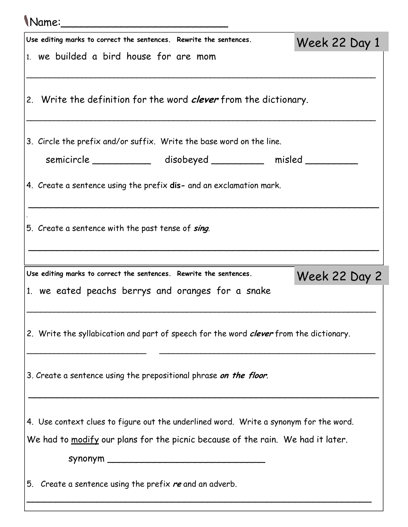| (Name:                                                                                 |               |
|----------------------------------------------------------------------------------------|---------------|
| Use editing marks to correct the sentences. Rewrite the sentences.                     | Week 22 Day 1 |
| 1. we builded a bird house for are mom                                                 |               |
| 2. Write the definition for the word <i>clever</i> from the dictionary.                |               |
| 3. Circle the prefix and/or suffix. Write the base word on the line.                   |               |
| semicircle _____________ disobeyed __________ misled _______                           |               |
| 4. Create a sentence using the prefix dis- and an exclamation mark.                    |               |
| 5. Create a sentence with the past tense of sing.                                      |               |
| Use editing marks to correct the sentences. Rewrite the sentences.                     |               |
| 1. we eated peachs berrys and oranges for a snake                                      | Week 22 Day 2 |
| 2. Write the syllabication and part of speech for the word clever from the dictionary. |               |
| 3. Create a sentence using the prepositional phrase on the floor.                      |               |
| 4. Use context clues to figure out the underlined word. Write a synonym for the word.  |               |
| We had to modify our plans for the picnic because of the rain. We had it later.        |               |
|                                                                                        |               |
| 5. Create a sentence using the prefix re and an adverb.                                |               |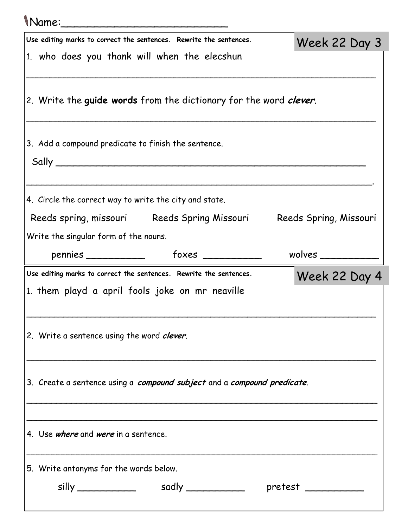## Name:\_\_\_\_\_\_\_\_\_\_\_\_\_\_\_\_\_\_\_\_\_\_\_\_\_

| Use editing marks to correct the sentences. Rewrite the sentences.<br>1. who does you thank will when the elecshun    | Week 22 Day 3           |
|-----------------------------------------------------------------------------------------------------------------------|-------------------------|
|                                                                                                                       |                         |
| 2. Write the guide words from the dictionary for the word <i>clever</i> .                                             |                         |
| 3. Add a compound predicate to finish the sentence.<br>Sally                                                          |                         |
| 4. Circle the correct way to write the city and state.                                                                |                         |
| Reeds spring, missouri Reeds Spring Missouri Reeds Spring, Missouri                                                   |                         |
| Write the singular form of the nouns.                                                                                 |                         |
|                                                                                                                       | wolves $\_\_$           |
| Use editing marks to correct the sentences. Rewrite the sentences.<br>1. them playd a april fools joke on mr neaville | Week 22 Day 4           |
| 2. Write a sentence using the word clever.                                                                            |                         |
| 3. Create a sentence using a compound subject and a compound predicate.                                               |                         |
| 4. Use <i>where</i> and <i>were</i> in a sentence.                                                                    |                         |
| 5. Write antonyms for the words below.                                                                                |                         |
|                                                                                                                       | $\mathsf{pretest} \_\_$ |